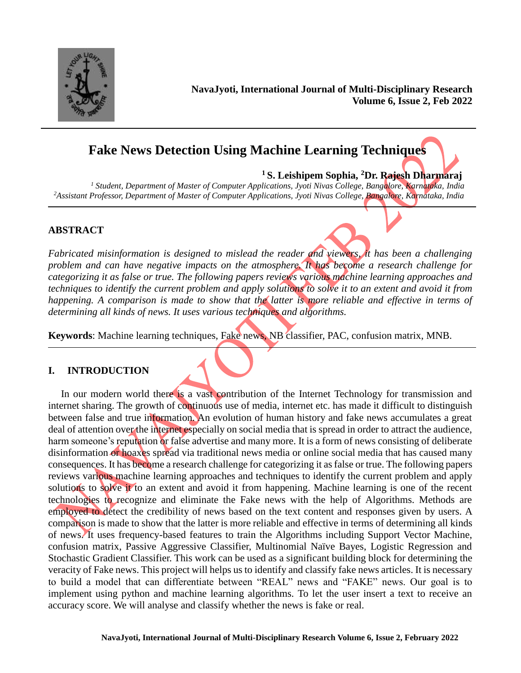

**NavaJyoti, International Journal of Multi-Disciplinary Research Volume 6, Issue 2, Feb 2022**

# **Fake News Detection Using Machine Learning Techniques**

**<sup>1</sup>S. Leishipem Sophia, <sup>2</sup>Dr. Rajesh Dharmaraj**

*<sup>1</sup> Student, Department of Master of Computer Applications, Jyoti Nivas College, Bangalore, Karnataka, India <sup>2</sup>Assistant Professor, Department of Master of Computer Applications, Jyoti Nivas College, Bangalore, Karnataka, India*

### **ABSTRACT**

*Fabricated misinformation is designed to mislead the reader and viewers, it has been a challenging problem and can have negative impacts on the atmosphere. It has become a research challenge for categorizing it as false or true. The following papers reviews various machine learning approaches and techniques to identify the current problem and apply solutions to solve it to an extent and avoid it from happening. A comparison is made to show that the latter is more reliable and effective in terms of determining all kinds of news. It uses various techniques and algorithms.*

**Keywords**: Machine learning techniques, Fake news, NB classifier, PAC, confusion matrix, MNB.

#### **I. INTRODUCTION**

In our modern world there is a vast contribution of the Internet Technology for transmission and internet sharing. The growth of continuous use of media, internet etc. has made it difficult to distinguish between false and true information. An evolution of human history and fake news accumulates a great deal of attention over the internet especially on social media that is spread in order to attract the audience, harm someone's reputation or false advertise and many more. It is a form of news consisting of deliberate disinformation or hoaxes spread via traditional news media or online social media that has caused many consequences. It has become a research challenge for categorizing it as false or true. The following papers reviews various machine learning approaches and techniques to identify the current problem and apply solutions to solve it to an extent and avoid it from happening. Machine learning is one of the recent technologies to recognize and eliminate the Fake news with the help of Algorithms. Methods are employed to detect the credibility of news based on the text content and responses given by users. A comparison is made to show that the latter is more reliable and effective in terms of determining all kinds of news. It uses frequency-based features to train the Algorithms including Support Vector Machine, confusion matrix, Passive Aggressive Classifier, Multinomial Naïve Bayes, Logistic Regression and Stochastic Gradient Classifier. This work can be used as a significant building block for determining the veracity of Fake news. This project will helps us to identify and classify fake news articles. It is necessary to build a model that can differentiate between "REAL" news and "FAKE" news. Our goal is to implement using python and machine learning algorithms. To let the user insert a text to receive an accuracy score. We will analyse and classify whether the news is fake or real.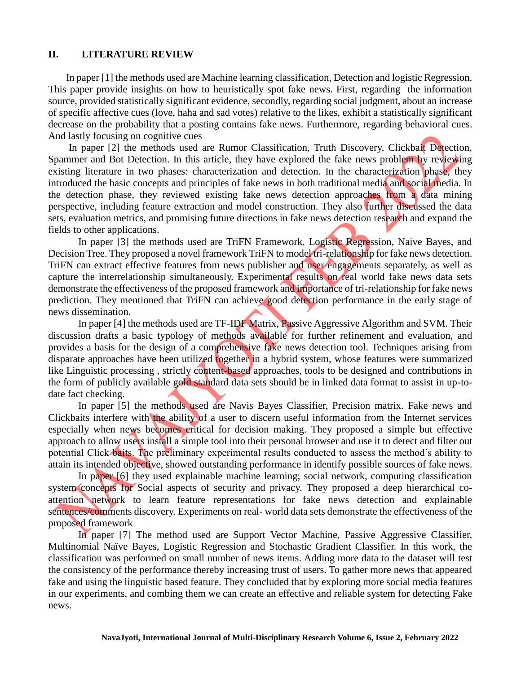#### **II. LITERATURE REVIEW**

 In paper [1] the methods used are Machine learning classification, Detection and logistic Regression. This paper provide insights on how to heuristically spot fake news. First, regarding the information source, provided statistically significant evidence, secondly, regarding social judgment, about an increase of specific affective cues (love, haha and sad votes) relative to the likes, exhibit a statistically significant decrease on the probability that a posting contains fake news. Furthermore, regarding behavioral cues. And lastly focusing on cognitive cues

In paper [2] the methods used are Rumor Classification, Truth Discovery, Clickbait Detection, Spammer and Bot Detection. In this article, they have explored the fake news problem by reviewing existing literature in two phases: characterization and detection. In the characterization phase, they introduced the basic concepts and principles of fake news in both traditional media and social media. In the detection phase, they reviewed existing fake news detection approaches from a data mining perspective, including feature extraction and model construction. They also further discussed the data sets, evaluation metrics, and promising future directions in fake news detection research and expand the fields to other applications.

In paper [3] the methods used are TriFN Framework, Logistic Regression, Naive Bayes, and Decision Tree. They proposed a novel framework TriFN to model tri-relationship for fake news detection. TriFN can extract effective features from news publisher and user engagements separately, as well as capture the interrelationship simultaneously. Experimental results on real world fake news data sets demonstrate the effectiveness of the proposed framework and importance of tri-relationship for fake news prediction. They mentioned that TriFN can achieve good detection performance in the early stage of news dissemination.

In paper [4] the methods used are TF-IDF Matrix, Passive Aggressive Algorithm and SVM. Their discussion drafts a basic typology of methods available for further refinement and evaluation, and provides a basis for the design of a comprehensive fake news detection tool. Techniques arising from disparate approaches have been utilized together in a hybrid system, whose features were summarized like Linguistic processing , strictly content-based approaches, tools to be designed and contributions in the form of publicly available gold standard data sets should be in linked data format to assist in up-todate fact checking.

In paper [5] the methods used are Navis Bayes Classifier, Precision matrix. Fake news and Clickbaits interfere with the ability of a user to discern useful information from the Internet services especially when news becomes critical for decision making. They proposed a simple but effective approach to allow users install a simple tool into their personal browser and use it to detect and filter out potential Click baits. The preliminary experimental results conducted to assess the method's ability to attain its intended objective, showed outstanding performance in identify possible sources of fake news.

In paper [6] they used explainable machine learning; social network, computing classification system concepts for Social aspects of security and privacy. They proposed a deep hierarchical coattention network to learn feature representations for fake news detection and explainable sentences/comments discovery. Experiments on real- world data sets demonstrate the effectiveness of the proposed framework

In paper [7] The method used are Support Vector Machine, Passive Aggressive Classifier, Multinomial Naïve Bayes, Logistic Regression and Stochastic Gradient Classifier. In this work, the classification was performed on small number of news items. Adding more data to the dataset will test the consistency of the performance thereby increasing trust of users. To gather more news that appeared fake and using the linguistic based feature. They concluded that by exploring more social media features in our experiments, and combing them we can create an effective and reliable system for detecting Fake news.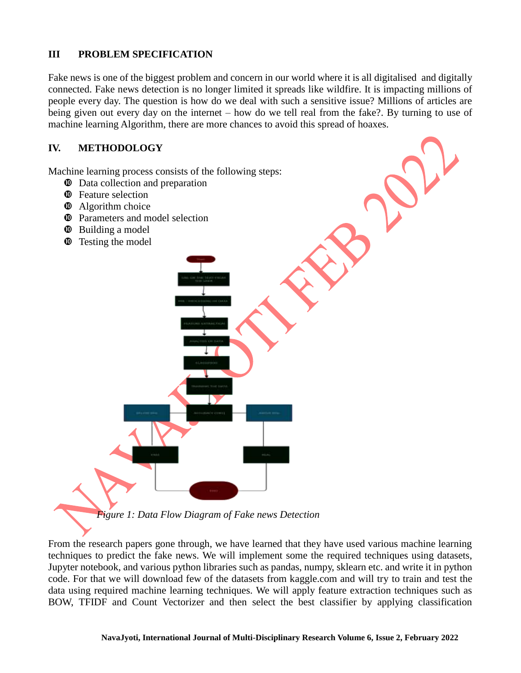### **III PROBLEM SPECIFICATION**

Fake news is one of the biggest problem and concern in our world where it is all digitalised and digitally connected. Fake news detection is no longer limited it spreads like wildfire. It is impacting millions of people every day. The question is how do we deal with such a sensitive issue? Millions of articles are being given out every day on the internet – how do we tell real from the fake?. By turning to use of machine learning Algorithm, there are more chances to avoid this spread of hoaxes.

#### **IV. METHODOLOGY**

Machine learning process consists of the following steps:

- $\bullet$  Data collection and preparation
- **<sup>** $\Phi$ **</sup>** Feature selection
- $\Phi$  Algorithm choice
- $\Phi$  Parameters and model selection
- $\bullet$  Building a model
- $\Phi$  Testing the model

*Figure 1: Data Flow Diagram of Fake news Detection*

From the research papers gone through, we have learned that they have used various machine learning techniques to predict the fake news. We will implement some the required techniques using datasets, Jupyter notebook, and various python libraries such as pandas, numpy, sklearn etc. and write it in python code. For that we will download few of the datasets from kaggle.com and will try to train and test the data using required machine learning techniques. We will apply feature extraction techniques such as BOW, TFIDF and Count Vectorizer and then select the best classifier by applying classification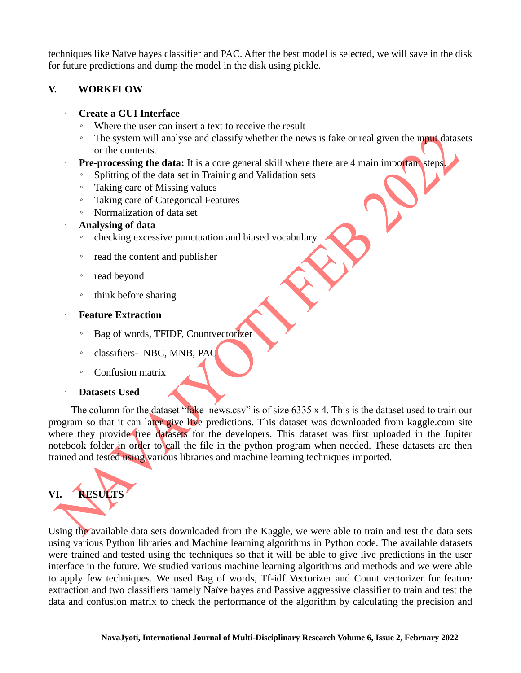techniques like Naïve bayes classifier and PAC. After the best model is selected, we will save in the disk for future predictions and dump the model in the disk using pickle.

### **V. WORKFLOW**

#### • **Create a GUI Interface**

- Where the user can insert a text to receive the result
- The system will analyse and classify whether the news is fake or real given the input datasets or the contents.
- **Pre-processing the data:** It is a core general skill where there are 4 main important steps.
	- Splitting of the data set in Training and Validation sets
	- Taking care of Missing values
	- Taking care of Categorical Features
	- Normalization of data set
- **Analysing of data**
	- checking excessive punctuation and biased vocabulary
	- read the content and publisher
	- read beyond
	- think before sharing
- **Feature Extraction**
	- Bag of words, TFIDF, Countvectorizer
	- classifiers- NBC, MNB, PAC
	- Confusion matrix

### • **Datasets Used**

The column for the dataset "fake news.csv" is of size  $6335 \times 4$ . This is the dataset used to train our program so that it can later give live predictions. This dataset was downloaded from kaggle.com site where they provide free datasets for the developers. This dataset was first uploaded in the Jupiter notebook folder in order to call the file in the python program when needed. These datasets are then trained and tested using various libraries and machine learning techniques imported.

# **VI. RESULTS**

Using the available data sets downloaded from the Kaggle, we were able to train and test the data sets using various Python libraries and Machine learning algorithms in Python code. The available datasets were trained and tested using the techniques so that it will be able to give live predictions in the user interface in the future. We studied various machine learning algorithms and methods and we were able to apply few techniques. We used Bag of words, Tf-idf Vectorizer and Count vectorizer for feature extraction and two classifiers namely Naïve bayes and Passive aggressive classifier to train and test the data and confusion matrix to check the performance of the algorithm by calculating the precision and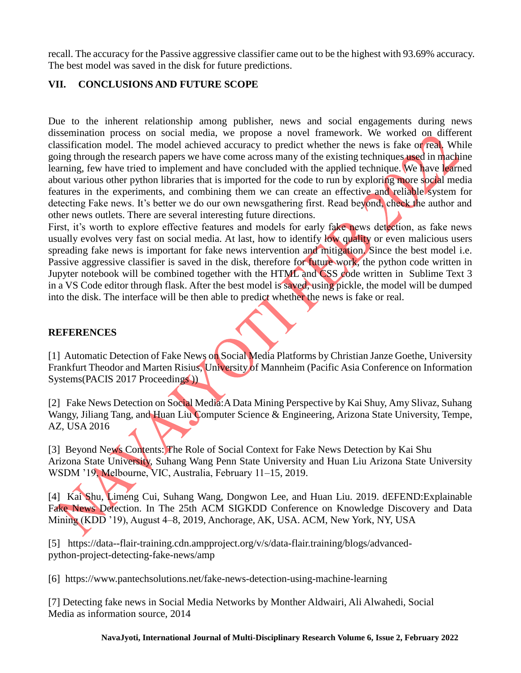recall. The accuracy for the Passive aggressive classifier came out to be the highest with 93.69% accuracy. The best model was saved in the disk for future predictions.

# **VII. CONCLUSIONS AND FUTURE SCOPE**

Due to the inherent relationship among publisher, news and social engagements during news dissemination process on social media, we propose a novel framework. We worked on different classification model. The model achieved accuracy to predict whether the news is fake or real. While going through the research papers we have come across many of the existing techniques used in machine learning, few have tried to implement and have concluded with the applied technique. We have learned about various other python libraries that is imported for the code to run by exploring more social media features in the experiments, and combining them we can create an effective and reliable system for detecting Fake news. It's better we do our own newsgathering first. Read beyond, check the author and other news outlets. There are several interesting future directions.

First, it's worth to explore effective features and models for early fake news detection, as fake news usually evolves very fast on social media. At last, how to identify low quality or even malicious users spreading fake news is important for fake news intervention and mitigation. Since the best model i.e. Passive aggressive classifier is saved in the disk, therefore for future work, the python code written in Jupyter notebook will be combined together with the HTML and CSS code written in Sublime Text 3 in a VS Code editor through flask. After the best model is saved, using pickle, the model will be dumped into the disk. The interface will be then able to predict whether the news is fake or real.

## **REFERENCES**

[1] Automatic Detection of Fake News on Social Media Platforms by Christian Janze Goethe, University Frankfurt Theodor and Marten Risius, University of Mannheim (Pacific Asia Conference on Information Systems(PACIS 2017 Proceedings))

[2] Fake News Detection on Social Media:A Data Mining Perspective by Kai Shuy, Amy Slivaz, Suhang Wangy, Jiliang Tang, and Huan Liu Computer Science & Engineering, Arizona State University, Tempe, AZ, USA 2016

[3] Beyond News Contents: The Role of Social Context for Fake News Detection by Kai Shu Arizona State University, Suhang Wang Penn State University and Huan Liu Arizona State University WSDM '19, Melbourne, VIC, Australia, February 11–15, 2019.

[4] Kai Shu, Limeng Cui, Suhang Wang, Dongwon Lee, and Huan Liu. 2019. dEFEND:Explainable Fake News Detection. In The 25th ACM SIGKDD Conference on Knowledge Discovery and Data Mining (KDD '19), August 4–8, 2019, Anchorage, AK, USA. ACM, New York, NY, USA

[5] https://data--flair-training.cdn.ampproject.org/v/s/data-flair.training/blogs/advancedpython-project-detecting-fake-news/amp

[6] https://www.pantechsolutions.net/fake-news-detection-using-machine-learning

[7] Detecting fake news in Social Media Networks by Monther Aldwairi, Ali Alwahedi, Social Media as information source, 2014